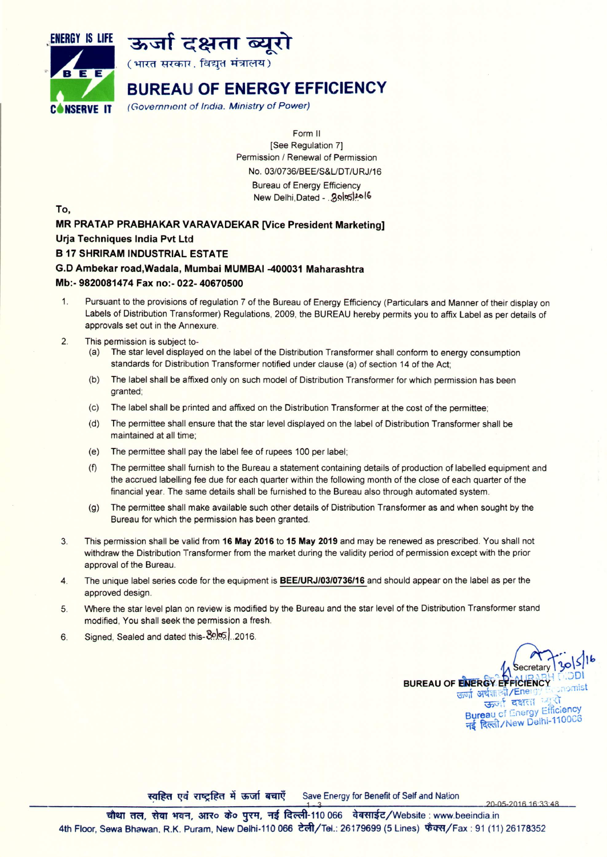



(भारत सरकार, विद्युत मंत्रालय)

# BUREAU OF ENERGY EFFICIENCY

C'NSERVE IT *(Government* of *India. Ministry* of *Power)*

Form II [See Regulation 7] Permission *I* Renewal of Permission *No.03/0736/BEE/S&UDT/URJ/16* Bureau of Energy Efficiency New Delhi,Dated - . 3.0 5 20 16

To,

# MR PRATAP PRABHAKAR VARAVADEKAR [Vice President Marketing]

## Urja Techniques India Pvt Ltd

### B 17 SHRIRAM INDUSTRIAL ESTATE

#### G.D Ambekar road,Wadala, Mumbai MUMBAI -400031 Maharashtra

#### Mb:- 9820081474 Fax no:- 022- 40670500

- 1. Pursuant to the provisions of regulation 7 of the Bureau of Energy Efficiency (Particulars and Manner of their display on Labels of Distribution Transformer) Regulations, 2009, the BUREAU hereby permits you to affix Label as per details of approvals set out in the Annexure.
- 2. This permission is subject to-
	- (a) The star level displayed on the label of the Distribution Transformer shall conform to energy consumption standards for Distribution Transformer notified under clause (a) of section 14 of the Act;
	- (b) The label shall be affixed only on such model of Distribution Transformer for which permission has been granted;
	- (c) The label shall be printed and affixed on the Distribution Transformer at the cost of the permittee;
	- (d) The permittee shall ensure that the star level displayed on the label of Distribution Transformer shall be maintained at all time;
	- (e) The permittee shall pay the label fee of rupees 100 per label;
	- (f) The permittee shall furnish to the Bureau a statement containing details of production of labelled equipment and the accrued labelling fee due for each quarter within the following month of the close of each quarter of the financial year. The same details shall be furnished to the Bureau also through automated system.
	- (g) The permittee shall make available such other details of Distribution Transformer as and when sought by the Bureau for which the permission has been granted.
- 3. This permission shall be valid from 16 May 2016 to 15 May 2019 and may be renewed as prescribed. You shall not withdraw the Distribution Transformer from the market during the validity period of permission except with the prior approval of the Bureau.
- 4. The unique label series code for the equipment is *BEE/URJ/03/0736/16* and should appear on the label as per the approved design.
- 5. Where the star level plan on review is modified by the Bureau and the star level of the Distribution Transformer stand modified, You shall seek the permission a fresh.
- 6. Signed, Sealed and dated this-80.05. .2016.



20-05-2016 16:33:48

स्वहित एवं राष्ट्रहित में ऊर्जा बचाएँ Save Energy for Benefit of Self and Nation

चौथा तल, सेवा भवन, आर० के० पुरम, नई दिल्ली-110 066 वेबसाईट/Website: www.beeindia.in 4th Floor, Sewa Bhawan, R.K. Puram, New Delhi-110 066 टेली/Tel.: 26179699 (5 Lines) फैक्स/Fax: 91 (11) 26178352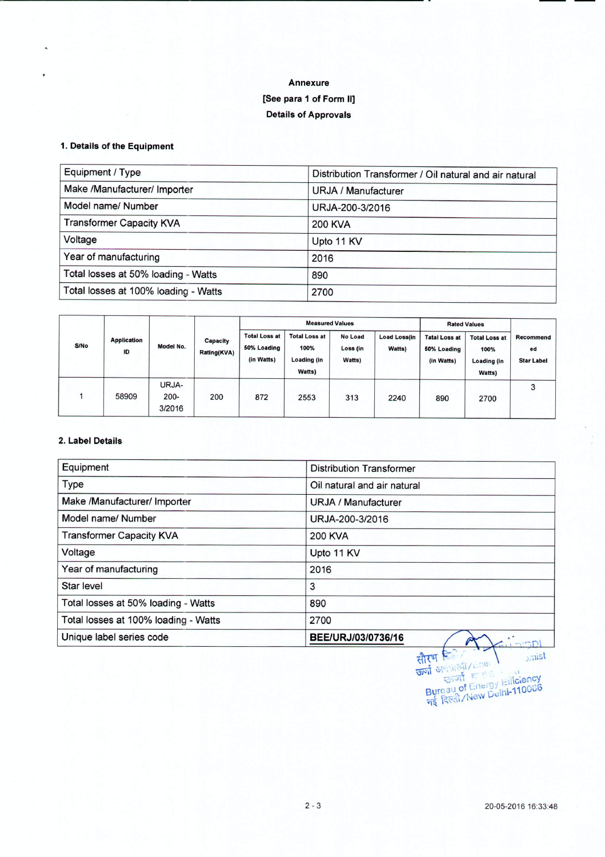## **Annexure [See para 1 of Form II] Details of Approvals**

#### 1.**Details of the Equipment**

| Equipment / Type                     | Distribution Transformer / Oil natural and air natural |
|--------------------------------------|--------------------------------------------------------|
| Make /Manufacturer/ Importer         | URJA / Manufacturer                                    |
| Model name/ Number                   | URJA-200-3/2016                                        |
| <b>Transformer Capacity KVA</b>      | <b>200 KVA</b>                                         |
| Voltage                              | Upto 11 KV                                             |
| Year of manufacturing                | 2016                                                   |
| Total losses at 50% loading - Watts  | 890                                                    |
| Total losses at 100% loading - Watts | 2700                                                   |

| S/No | <b>Application</b><br>ID | Model No.                  | Capacity<br>Rating(KVA) | <b>Measured Values</b>                            |                                                              |                                      | <b>Rated Values</b>           |                                                   |                                                       |                                             |
|------|--------------------------|----------------------------|-------------------------|---------------------------------------------------|--------------------------------------------------------------|--------------------------------------|-------------------------------|---------------------------------------------------|-------------------------------------------------------|---------------------------------------------|
|      |                          |                            |                         | <b>Total Loss at</b><br>50% Loading<br>(in Watts) | <b>Total Loss at</b><br>100%<br><b>Loading (in</b><br>Watts) | <b>No Load</b><br>Loss (in<br>Watts) | <b>Load Loss(in</b><br>Watts) | <b>Tatal Loss at</b><br>50% Loading<br>(in Watts) | <b>Total Loss at</b><br>100%<br>Loading (in<br>Watts) | <b>Recommend</b><br>ed<br><b>Star Label</b> |
|      | 58909                    | URJA-<br>$200 -$<br>3/2016 | 200                     | 872                                               | 2553                                                         | 313                                  | 2240                          | 890                                               | 2700                                                  | 3                                           |

#### 2. **Label Details**

| Equipment                            | <b>Distribution Transformer</b> |
|--------------------------------------|---------------------------------|
| Type                                 | Oil natural and air natural     |
| Make /Manufacturer/ Importer         | <b>URJA / Manufacturer</b>      |
| Model name/ Number                   | URJA-200-3/2016                 |
| <b>Transformer Capacity KVA</b>      | <b>200 KVA</b>                  |
| Voltage                              | Upto 11 KV                      |
| Year of manufacturing                | 2016                            |
| Star level                           | 3                               |
| Total losses at 50% loading - Watts  | 890                             |
| Total losses at 100% loading - Watts | 2700                            |
| Unique label series code             | BEE/URJ/03/0736/16              |

सीर्**म डिले** ( 1991 - ) ज्यांडी